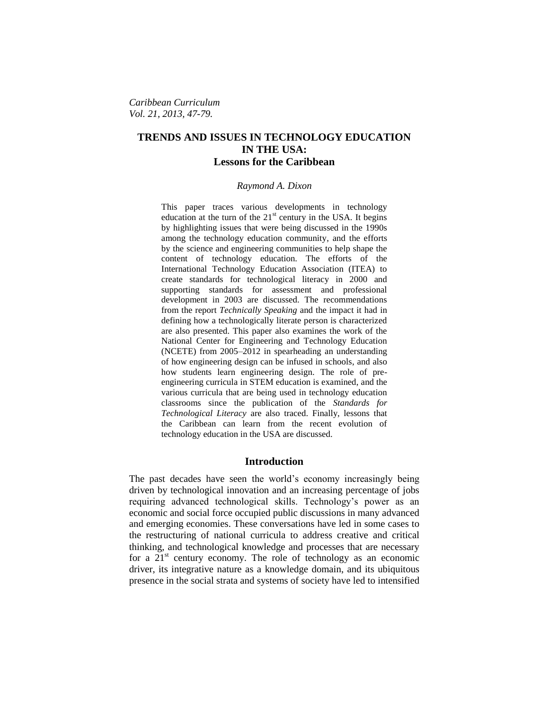*Caribbean Curriculum Vol. 21, 2013, 47-79.*

# **TRENDS AND ISSUES IN TECHNOLOGY EDUCATION IN THE USA: Lessons for the Caribbean**

#### *Raymond A. Dixon*

This paper traces various developments in technology education at the turn of the  $21<sup>st</sup>$  century in the USA. It begins by highlighting issues that were being discussed in the 1990s among the technology education community, and the efforts by the science and engineering communities to help shape the content of technology education. The efforts of the International Technology Education Association (ITEA) to create standards for technological literacy in 2000 and supporting standards for assessment and professional development in 2003 are discussed. The recommendations from the report *Technically Speaking* and the impact it had in defining how a technologically literate person is characterized are also presented. This paper also examines the work of the National Center for Engineering and Technology Education (NCETE) from 2005–2012 in spearheading an understanding of how engineering design can be infused in schools, and also how students learn engineering design. The role of preengineering curricula in STEM education is examined, and the various curricula that are being used in technology education classrooms since the publication of the *Standards for Technological Literacy* are also traced. Finally, lessons that the Caribbean can learn from the recent evolution of technology education in the USA are discussed.

#### **Introduction**

The past decades have seen the world's economy increasingly being driven by technological innovation and an increasing percentage of jobs requiring advanced technological skills. Technology's power as an economic and social force occupied public discussions in many advanced and emerging economies. These conversations have led in some cases to the restructuring of national curricula to address creative and critical thinking, and technological knowledge and processes that are necessary for a  $21<sup>st</sup>$  century economy. The role of technology as an economic driver, its integrative nature as a knowledge domain, and its ubiquitous presence in the social strata and systems of society have led to intensified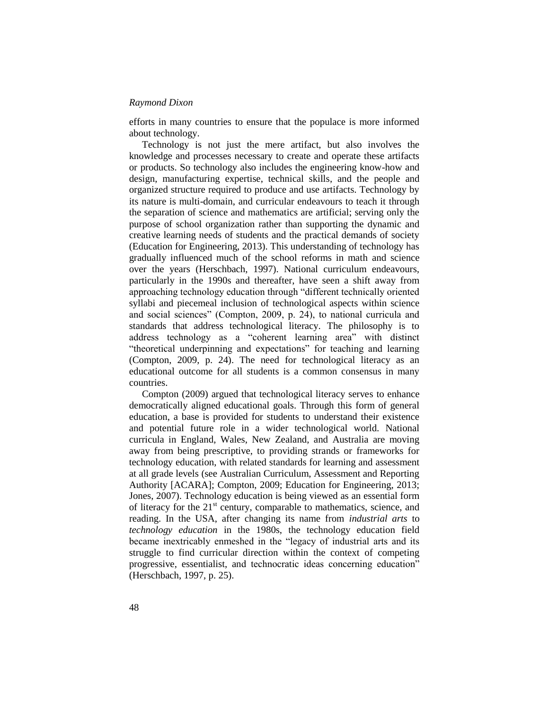efforts in many countries to ensure that the populace is more informed about technology.

Technology is not just the mere artifact, but also involves the knowledge and processes necessary to create and operate these artifacts or products. So technology also includes the engineering know-how and design, manufacturing expertise, technical skills, and the people and organized structure required to produce and use artifacts. Technology by its nature is multi-domain, and curricular endeavours to teach it through the separation of science and mathematics are artificial; serving only the purpose of school organization rather than supporting the dynamic and creative learning needs of students and the practical demands of society (Education for Engineering, 2013). This understanding of technology has gradually influenced much of the school reforms in math and science over the years (Herschbach, 1997). National curriculum endeavours, particularly in the 1990s and thereafter, have seen a shift away from approaching technology education through "different technically oriented syllabi and piecemeal inclusion of technological aspects within science and social sciences" (Compton, 2009, p. 24), to national curricula and standards that address technological literacy. The philosophy is to address technology as a "coherent learning area" with distinct "theoretical underpinning and expectations" for teaching and learning (Compton, 2009, p. 24). The need for technological literacy as an educational outcome for all students is a common consensus in many countries.

Compton (2009) argued that technological literacy serves to enhance democratically aligned educational goals. Through this form of general education, a base is provided for students to understand their existence and potential future role in a wider technological world. National curricula in England, Wales, New Zealand, and Australia are moving away from being prescriptive, to providing strands or frameworks for technology education, with related standards for learning and assessment at all grade levels (see Australian Curriculum, Assessment and Reporting Authority [ACARA]; Compton, 2009; Education for Engineering, 2013; Jones, 2007). Technology education is being viewed as an essential form of literacy for the  $21<sup>st</sup>$  century, comparable to mathematics, science, and reading. In the USA, after changing its name from *industrial arts* to *technology education* in the 1980s, the technology education field became inextricably enmeshed in the "legacy of industrial arts and its struggle to find curricular direction within the context of competing progressive, essentialist, and technocratic ideas concerning education" (Herschbach, 1997, p. 25).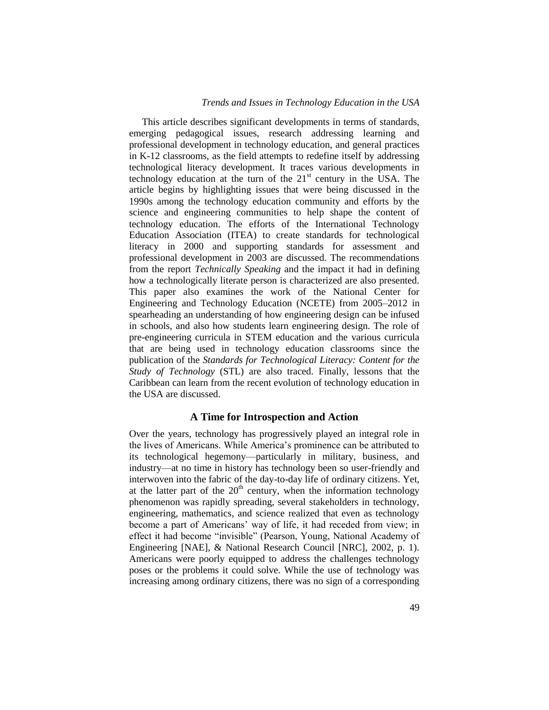### *Trends and Issues in Technology Education in the USA*

This article describes significant developments in terms of standards, emerging pedagogical issues, research addressing learning and professional development in technology education, and general practices in K-12 classrooms, as the field attempts to redefine itself by addressing technological literacy development. It traces various developments in technology education at the turn of the  $21<sup>st</sup>$  century in the USA. The article begins by highlighting issues that were being discussed in the 1990s among the technology education community and efforts by the science and engineering communities to help shape the content of technology education. The efforts of the International Technology Education Association (ITEA) to create standards for technological literacy in 2000 and supporting standards for assessment and professional development in 2003 are discussed. The recommendations from the report *Technically Speaking* and the impact it had in defining how a technologically literate person is characterized are also presented. This paper also examines the work of the National Center for Engineering and Technology Education (NCETE) from 2005–2012 in spearheading an understanding of how engineering design can be infused in schools, and also how students learn engineering design. The role of pre-engineering curricula in STEM education and the various curricula that are being used in technology education classrooms since the publication of the *Standards for Technological Literacy: Content for the Study of Technology* (STL) are also traced. Finally, lessons that the Caribbean can learn from the recent evolution of technology education in the USA are discussed.

### **A Time for Introspection and Action**

Over the years, technology has progressively played an integral role in the lives of Americans. While America's prominence can be attributed to its technological hegemony—particularly in military, business, and industry—at no time in history has technology been so user-friendly and interwoven into the fabric of the day-to-day life of ordinary citizens. Yet, at the latter part of the  $20<sup>th</sup>$  century, when the information technology phenomenon was rapidly spreading, several stakeholders in technology, engineering, mathematics, and science realized that even as technology become a part of Americans' way of life, it had receded from view; in effect it had become "invisible" (Pearson, Young, National Academy of Engineering [NAE], & National Research Council [NRC], 2002, p. 1). Americans were poorly equipped to address the challenges technology poses or the problems it could solve. While the use of technology was increasing among ordinary citizens, there was no sign of a corresponding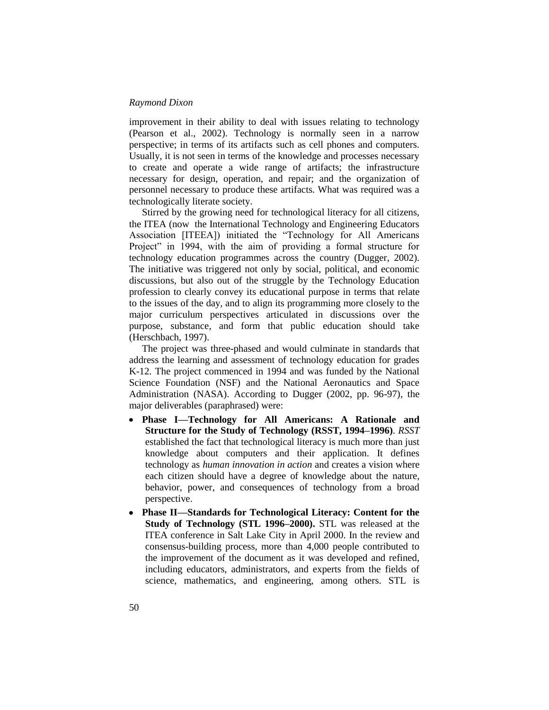improvement in their ability to deal with issues relating to technology (Pearson et al., 2002). Technology is normally seen in a narrow perspective; in terms of its artifacts such as cell phones and computers. Usually, it is not seen in terms of the knowledge and processes necessary to create and operate a wide range of artifacts; the infrastructure necessary for design, operation, and repair; and the organization of personnel necessary to produce these artifacts. What was required was a technologically literate society.

Stirred by the growing need for technological literacy for all citizens, the ITEA (now the International Technology and Engineering Educators Association [ITEEA]) initiated the "Technology for All Americans Project" in 1994, with the aim of providing a formal structure for technology education programmes across the country (Dugger, 2002). The initiative was triggered not only by social, political, and economic discussions, but also out of the struggle by the Technology Education profession to clearly convey its educational purpose in terms that relate to the issues of the day, and to align its programming more closely to the major curriculum perspectives articulated in discussions over the purpose, substance, and form that public education should take (Herschbach, 1997).

The project was three-phased and would culminate in standards that address the learning and assessment of technology education for grades K-12. The project commenced in 1994 and was funded by the National Science Foundation (NSF) and the National Aeronautics and Space Administration (NASA). According to Dugger (2002, pp. 96-97), the major deliverables (paraphrased) were:

- **Phase I—Technology for All Americans: A Rationale and Structure for the Study of Technology (RSST, 1994–1996)**. *RSST*  established the fact that technological literacy is much more than just knowledge about computers and their application. It defines technology as *human innovation in action* and creates a vision where each citizen should have a degree of knowledge about the nature, behavior, power, and consequences of technology from a broad perspective.
- **Phase II—Standards for Technological Literacy: Content for the Study of Technology (STL 1996–2000).** STL was released at the ITEA conference in Salt Lake City in April 2000. In the review and consensus-building process, more than 4,000 people contributed to the improvement of the document as it was developed and refined, including educators, administrators, and experts from the fields of science, mathematics, and engineering, among others. STL is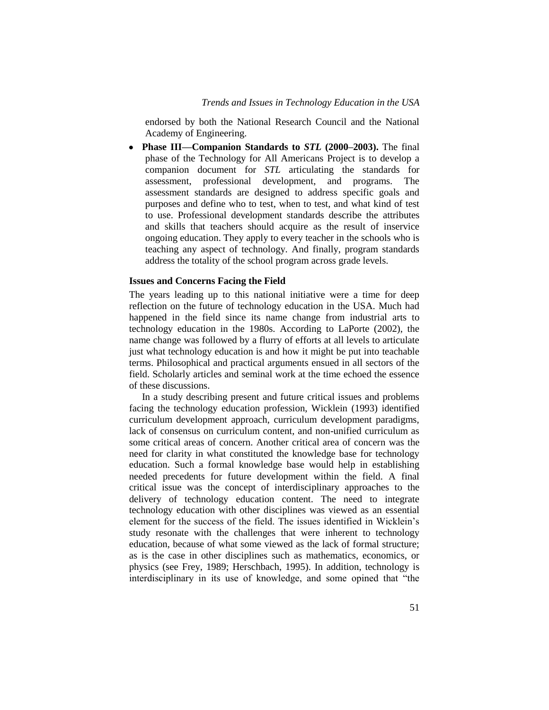endorsed by both the National Research Council and the National Academy of Engineering.

**Phase III—Companion Standards to** *STL* **(2000–2003).** The final phase of the Technology for All Americans Project is to develop a companion document for *STL* articulating the standards for assessment, professional development, and programs. The assessment standards are designed to address specific goals and purposes and define who to test, when to test, and what kind of test to use. Professional development standards describe the attributes and skills that teachers should acquire as the result of inservice ongoing education. They apply to every teacher in the schools who is teaching any aspect of technology. And finally, program standards address the totality of the school program across grade levels.

# **Issues and Concerns Facing the Field**

The years leading up to this national initiative were a time for deep reflection on the future of technology education in the USA. Much had happened in the field since its name change from industrial arts to technology education in the 1980s. According to LaPorte (2002), the name change was followed by a flurry of efforts at all levels to articulate just what technology education is and how it might be put into teachable terms. Philosophical and practical arguments ensued in all sectors of the field. Scholarly articles and seminal work at the time echoed the essence of these discussions.

In a study describing present and future critical issues and problems facing the technology education profession, Wicklein (1993) identified curriculum development approach, curriculum development paradigms, lack of consensus on curriculum content, and non-unified curriculum as some critical areas of concern. Another critical area of concern was the need for clarity in what constituted the knowledge base for technology education. Such a formal knowledge base would help in establishing needed precedents for future development within the field. A final critical issue was the concept of interdisciplinary approaches to the delivery of technology education content. The need to integrate technology education with other disciplines was viewed as an essential element for the success of the field. The issues identified in Wicklein's study resonate with the challenges that were inherent to technology education, because of what some viewed as the lack of formal structure; as is the case in other disciplines such as mathematics, economics, or physics (see Frey, 1989; Herschbach, 1995). In addition, technology is interdisciplinary in its use of knowledge, and some opined that "the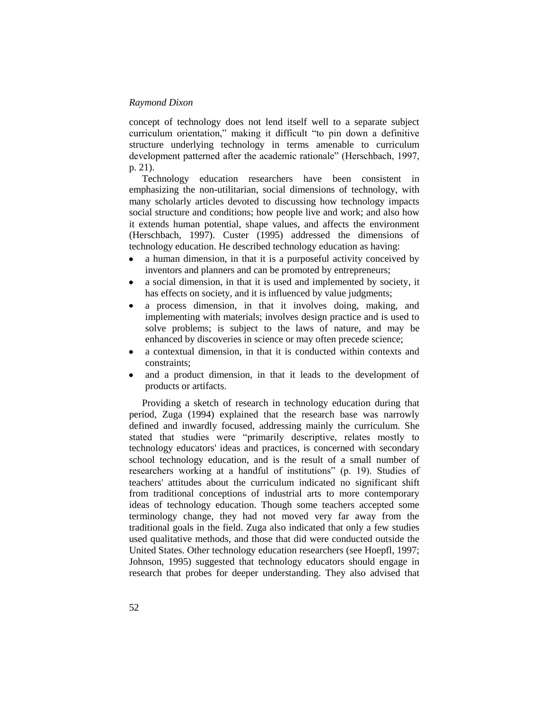concept of technology does not lend itself well to a separate subject curriculum orientation," making it difficult "to pin down a definitive structure underlying technology in terms amenable to curriculum development patterned after the academic rationale" (Herschbach, 1997, p. 21).

Technology education researchers have been consistent in emphasizing the non-utilitarian, social dimensions of technology, with many scholarly articles devoted to discussing how technology impacts social structure and conditions; how people live and work; and also how it extends human potential, shape values, and affects the environment (Herschbach, 1997). Custer (1995) addressed the dimensions of technology education. He described technology education as having:

- a human dimension, in that it is a purposeful activity conceived by  $\bullet$ inventors and planners and can be promoted by entrepreneurs;
- a social dimension, in that it is used and implemented by society, it  $\bullet$ has effects on society, and it is influenced by value judgments;
- a process dimension, in that it involves doing, making, and  $\bullet$ implementing with materials; involves design practice and is used to solve problems; is subject to the laws of nature, and may be enhanced by discoveries in science or may often precede science;
- a contextual dimension, in that it is conducted within contexts and constraints;
- and a product dimension, in that it leads to the development of products or artifacts.

Providing a sketch of research in technology education during that period, Zuga (1994) explained that the research base was narrowly defined and inwardly focused, addressing mainly the curriculum. She stated that studies were "primarily descriptive, relates mostly to technology educators' ideas and practices, is concerned with secondary school technology education, and is the result of a small number of researchers working at a handful of institutions" (p. 19). Studies of teachers' attitudes about the curriculum indicated no significant shift from traditional conceptions of industrial arts to more contemporary ideas of technology education. Though some teachers accepted some terminology change, they had not moved very far away from the traditional goals in the field. Zuga also indicated that only a few studies used qualitative methods, and those that did were conducted outside the United States. Other technology education researchers (see Hoepfl, 1997; Johnson, 1995) suggested that technology educators should engage in research that probes for deeper understanding. They also advised that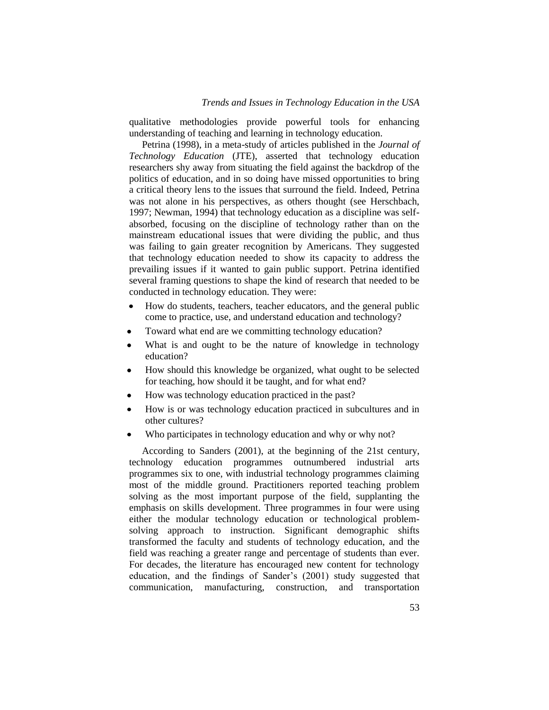qualitative methodologies provide powerful tools for enhancing understanding of teaching and learning in technology education.

Petrina (1998), in a meta-study of articles published in the *Journal of Technology Education* (JTE), asserted that technology education researchers shy away from situating the field against the backdrop of the politics of education, and in so doing have missed opportunities to bring a critical theory lens to the issues that surround the field. Indeed, Petrina was not alone in his perspectives, as others thought (see Herschbach, 1997; Newman, 1994) that technology education as a discipline was selfabsorbed, focusing on the discipline of technology rather than on the mainstream educational issues that were dividing the public, and thus was failing to gain greater recognition by Americans. They suggested that technology education needed to show its capacity to address the prevailing issues if it wanted to gain public support. Petrina identified several framing questions to shape the kind of research that needed to be conducted in technology education. They were:

- How do students, teachers, teacher educators, and the general public  $\bullet$ come to practice, use, and understand education and technology?
- Toward what end are we committing technology education?
- What is and ought to be the nature of knowledge in technology  $\bullet$ education?
- How should this knowledge be organized, what ought to be selected  $\bullet$ for teaching, how should it be taught, and for what end?
- How was technology education practiced in the past?
- How is or was technology education practiced in subcultures and in other cultures?
- Who participates in technology education and why or why not?

According to Sanders (2001), at the beginning of the 21st century, technology education programmes outnumbered industrial arts programmes six to one, with industrial technology programmes claiming most of the middle ground. Practitioners reported teaching problem solving as the most important purpose of the field, supplanting the emphasis on skills development. Three programmes in four were using either the modular technology education or technological problemsolving approach to instruction. Significant demographic shifts transformed the faculty and students of technology education, and the field was reaching a greater range and percentage of students than ever. For decades, the literature has encouraged new content for technology education, and the findings of Sander's (2001) study suggested that communication, manufacturing, construction, and transportation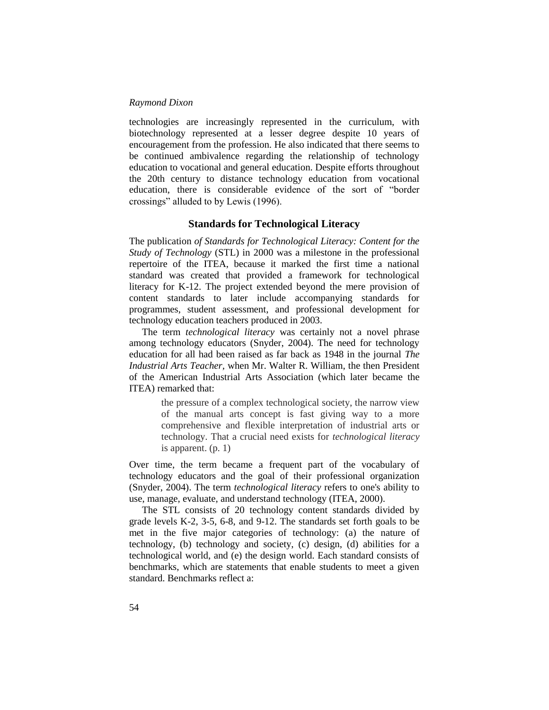technologies are increasingly represented in the curriculum, with biotechnology represented at a lesser degree despite 10 years of encouragement from the profession. He also indicated that there seems to be continued ambivalence regarding the relationship of technology education to vocational and general education. Despite efforts throughout the 20th century to distance technology education from vocational education, there is considerable evidence of the sort of "border crossings" alluded to by Lewis (1996).

# **Standards for Technological Literacy**

The publication *of Standards for Technological Literacy: Content for the Study of Technology* (STL) in 2000 was a milestone in the professional repertoire of the ITEA, because it marked the first time a national standard was created that provided a framework for technological literacy for K-12. The project extended beyond the mere provision of content standards to later include accompanying standards for programmes, student assessment, and professional development for technology education teachers produced in 2003.

The term *technological literacy* was certainly not a novel phrase among technology educators (Snyder, 2004). The need for technology education for all had been raised as far back as 1948 in the journal *The Industrial Arts Teacher,* when Mr. Walter R. William, the then President of the American Industrial Arts Association (which later became the ITEA) remarked that:

> the pressure of a complex technological society, the narrow view of the manual arts concept is fast giving way to a more comprehensive and flexible interpretation of industrial arts or technology. That a crucial need exists for *technological literacy* is apparent. (p. 1)

Over time, the term became a frequent part of the vocabulary of technology educators and the goal of their professional organization (Snyder, 2004). The term *technological literacy* refers to one's ability to use, manage, evaluate, and understand technology (ITEA, 2000).

The STL consists of 20 technology content standards divided by grade levels K-2, 3-5, 6-8, and 9-12. The standards set forth goals to be met in the five major categories of technology: (a) the nature of technology, (b) technology and society, (c) design, (d) abilities for a technological world, and (e) the design world. Each standard consists of benchmarks, which are statements that enable students to meet a given standard. Benchmarks reflect a: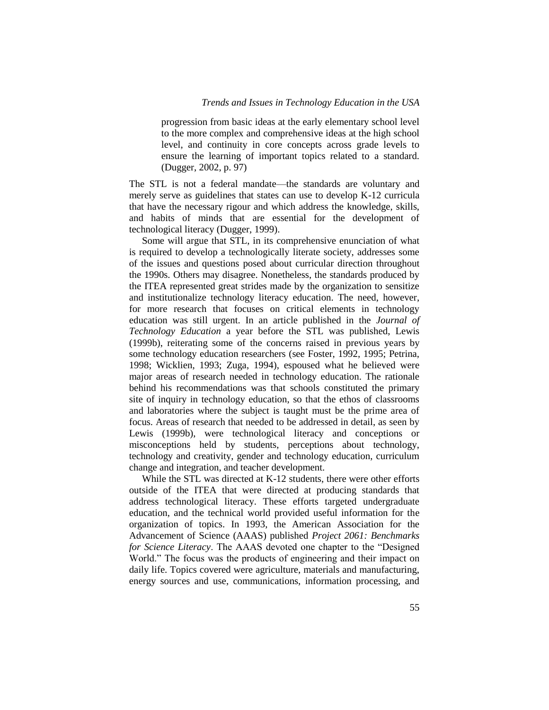progression from basic ideas at the early elementary school level to the more complex and comprehensive ideas at the high school level, and continuity in core concepts across grade levels to ensure the learning of important topics related to a standard. (Dugger, 2002, p. 97)

The STL is not a federal mandate—the standards are voluntary and merely serve as guidelines that states can use to develop K-12 curricula that have the necessary rigour and which address the knowledge, skills, and habits of minds that are essential for the development of technological literacy (Dugger, 1999).

Some will argue that STL, in its comprehensive enunciation of what is required to develop a technologically literate society, addresses some of the issues and questions posed about curricular direction throughout the 1990s. Others may disagree. Nonetheless, the standards produced by the ITEA represented great strides made by the organization to sensitize and institutionalize technology literacy education. The need, however, for more research that focuses on critical elements in technology education was still urgent. In an article published in the *Journal of Technology Education* a year before the STL was published, Lewis (1999b), reiterating some of the concerns raised in previous years by some technology education researchers (see Foster, 1992, 1995; Petrina, 1998; Wicklien, 1993; Zuga, 1994), espoused what he believed were major areas of research needed in technology education. The rationale behind his recommendations was that schools constituted the primary site of inquiry in technology education, so that the ethos of classrooms and laboratories where the subject is taught must be the prime area of focus. Areas of research that needed to be addressed in detail, as seen by Lewis (1999b), were technological literacy and conceptions or misconceptions held by students, perceptions about technology, technology and creativity, gender and technology education, curriculum change and integration, and teacher development.

While the STL was directed at K-12 students, there were other efforts outside of the ITEA that were directed at producing standards that address technological literacy. These efforts targeted undergraduate education, and the technical world provided useful information for the organization of topics. In 1993, the American Association for the Advancement of Science (AAAS) published *Project 2061: Benchmarks for Science Literacy*. The AAAS devoted one chapter to the "Designed World." The focus was the products of engineering and their impact on daily life. Topics covered were agriculture, materials and manufacturing, energy sources and use, communications, information processing, and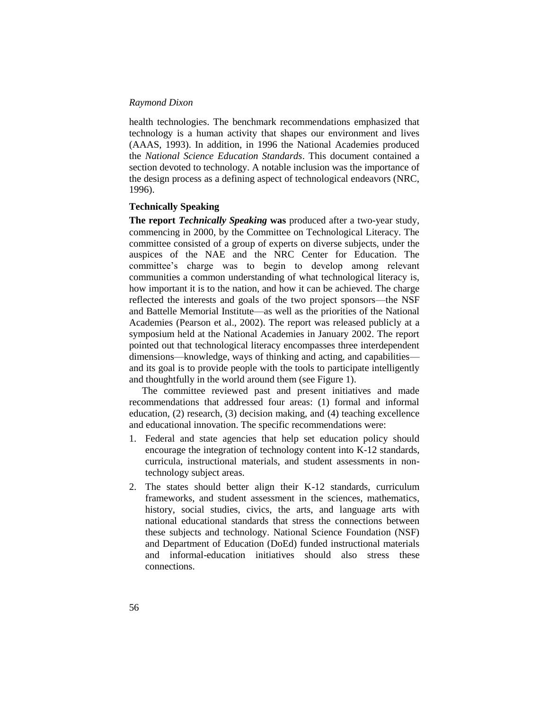health technologies. The benchmark recommendations emphasized that technology is a human activity that shapes our environment and lives (AAAS, 1993). In addition, in 1996 the National Academies produced the *National Science Education Standards*. This document contained a section devoted to technology. A notable inclusion was the importance of the design process as a defining aspect of technological endeavors (NRC, 1996).

### **Technically Speaking**

**The report** *Technically Speaking* **was** produced after a two-year study, commencing in 2000, by the Committee on Technological Literacy. The committee consisted of a group of experts on diverse subjects, under the auspices of the NAE and the NRC Center for Education. The committee's charge was to begin to develop among relevant communities a common understanding of what technological literacy is, how important it is to the nation, and how it can be achieved. The charge reflected the interests and goals of the two project sponsors—the NSF and Battelle Memorial Institute—as well as the priorities of the National Academies (Pearson et al., 2002). The report was released publicly at a symposium held at the National Academies in January 2002. The report pointed out that technological literacy encompasses three interdependent dimensions—knowledge, ways of thinking and acting, and capabilities and its goal is to provide people with the tools to participate intelligently and thoughtfully in the world around them (see Figure 1).

The committee reviewed past and present initiatives and made recommendations that addressed four areas: (1) formal and informal education, (2) research, (3) decision making, and (4) teaching excellence and educational innovation. The specific recommendations were:

- 1. Federal and state agencies that help set education policy should encourage the integration of technology content into K-12 standards, curricula, instructional materials, and student assessments in nontechnology subject areas.
- 2. The states should better align their K-12 standards, curriculum frameworks, and student assessment in the sciences, mathematics, history, social studies, civics, the arts, and language arts with national educational standards that stress the connections between these subjects and technology. National Science Foundation (NSF) and Department of Education (DoEd) funded instructional materials and informal-education initiatives should also stress these connections.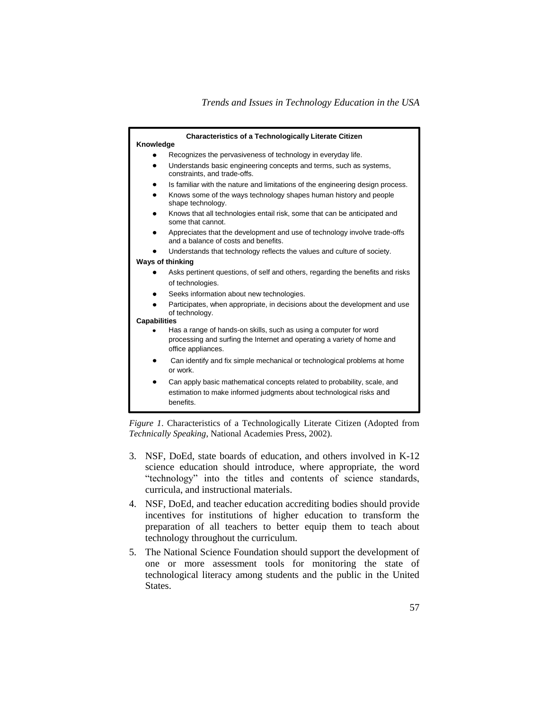|                                                                                                                                                                    | <b>Characteristics of a Technologically Literate Citizen</b>                                                                                    |  |
|--------------------------------------------------------------------------------------------------------------------------------------------------------------------|-------------------------------------------------------------------------------------------------------------------------------------------------|--|
| Knowledge                                                                                                                                                          |                                                                                                                                                 |  |
|                                                                                                                                                                    | Recognizes the pervasiveness of technology in everyday life.                                                                                    |  |
| Understands basic engineering concepts and terms, such as systems,<br>٠<br>constraints, and trade-offs.                                                            |                                                                                                                                                 |  |
| ٠                                                                                                                                                                  | Is familiar with the nature and limitations of the engineering design process.                                                                  |  |
| shape technology.                                                                                                                                                  | Knows some of the ways technology shapes human history and people                                                                               |  |
| some that cannot.                                                                                                                                                  | Knows that all technologies entail risk, some that can be anticipated and                                                                       |  |
|                                                                                                                                                                    | Appreciates that the development and use of technology involve trade-offs<br>and a balance of costs and benefits.                               |  |
|                                                                                                                                                                    | Understands that technology reflects the values and culture of society.                                                                         |  |
| Ways of thinking                                                                                                                                                   |                                                                                                                                                 |  |
|                                                                                                                                                                    | Asks pertinent questions, of self and others, regarding the benefits and risks                                                                  |  |
| of technologies.                                                                                                                                                   |                                                                                                                                                 |  |
| ٠                                                                                                                                                                  | Seeks information about new technologies.                                                                                                       |  |
| Participates, when appropriate, in decisions about the development and use<br>of technology.                                                                       |                                                                                                                                                 |  |
| <b>Capabilities</b>                                                                                                                                                |                                                                                                                                                 |  |
| Has a range of hands-on skills, such as using a computer for word<br>processing and surfing the Internet and operating a variety of home and<br>office appliances. |                                                                                                                                                 |  |
| or work.                                                                                                                                                           | Can identify and fix simple mechanical or technological problems at home                                                                        |  |
| ٠<br>benefits.                                                                                                                                                     | Can apply basic mathematical concepts related to probability, scale, and<br>estimation to make informed judgments about technological risks and |  |

*Figure 1*. Characteristics of a Technologically Literate Citizen (Adopted from *Technically Speaking*, National Academies Press, 2002).

- 3. NSF, DoEd, state boards of education, and others involved in K-12 science education should introduce, where appropriate, the word "technology" into the titles and contents of science standards, curricula, and instructional materials.
- 4. NSF, DoEd, and teacher education accrediting bodies should provide incentives for institutions of higher education to transform the preparation of all teachers to better equip them to teach about technology throughout the curriculum.
- 5. The National Science Foundation should support the development of one or more assessment tools for monitoring the state of technological literacy among students and the public in the United States.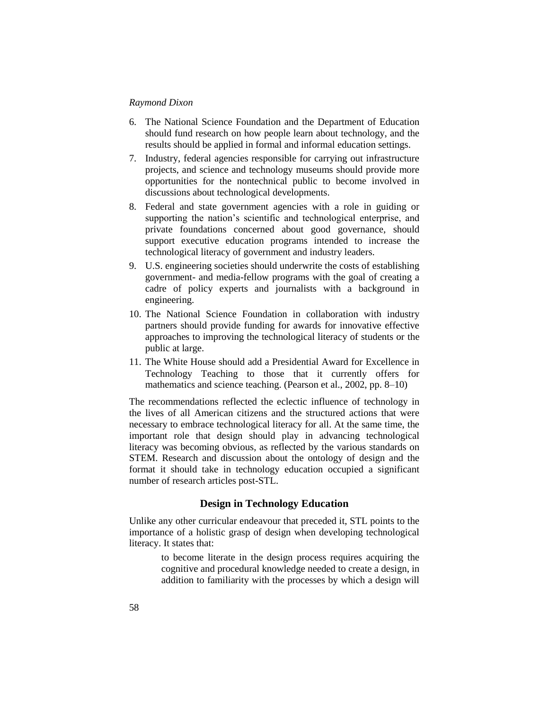- 6. The National Science Foundation and the Department of Education should fund research on how people learn about technology, and the results should be applied in formal and informal education settings.
- 7. Industry, federal agencies responsible for carrying out infrastructure projects, and science and technology museums should provide more opportunities for the nontechnical public to become involved in discussions about technological developments.
- 8. Federal and state government agencies with a role in guiding or supporting the nation's scientific and technological enterprise, and private foundations concerned about good governance, should support executive education programs intended to increase the technological literacy of government and industry leaders.
- 9. U.S. engineering societies should underwrite the costs of establishing government- and media-fellow programs with the goal of creating a cadre of policy experts and journalists with a background in engineering.
- 10. The National Science Foundation in collaboration with industry partners should provide funding for awards for innovative effective approaches to improving the technological literacy of students or the public at large.
- 11. The White House should add a Presidential Award for Excellence in Technology Teaching to those that it currently offers for mathematics and science teaching. (Pearson et al., 2002, pp. 8–10)

The recommendations reflected the eclectic influence of technology in the lives of all American citizens and the structured actions that were necessary to embrace technological literacy for all. At the same time, the important role that design should play in advancing technological literacy was becoming obvious, as reflected by the various standards on STEM. Research and discussion about the ontology of design and the format it should take in technology education occupied a significant number of research articles post-STL.

# **Design in Technology Education**

Unlike any other curricular endeavour that preceded it, STL points to the importance of a holistic grasp of design when developing technological literacy. It states that:

> to become literate in the design process requires acquiring the cognitive and procedural knowledge needed to create a design, in addition to familiarity with the processes by which a design will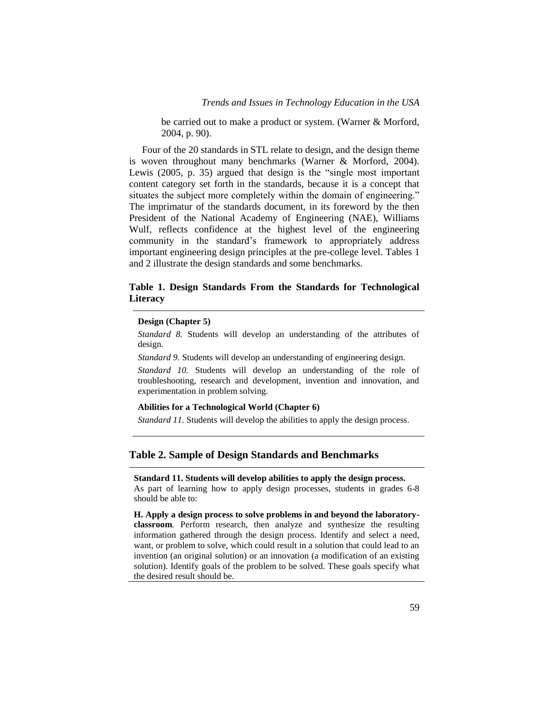be carried out to make a product or system. (Warner & Morford, 2004, p. 90).

Four of the 20 standards in STL relate to design, and the design theme is woven throughout many benchmarks (Warner & Morford, 2004). Lewis (2005, p. 35) argued that design is the "single most important content category set forth in the standards, because it is a concept that situates the subject more completely within the domain of engineering." The imprimatur of the standards document, in its foreword by the then President of the National Academy of Engineering (NAE), Williams Wulf, reflects confidence at the highest level of the engineering community in the standard's framework to appropriately address important engineering design principles at the pre-college level. Tables 1 and 2 illustrate the design standards and some benchmarks.

# **Table 1. Design Standards From the Standards for Technological Literacy**

#### **Design (Chapter 5)**

*Standard 8.* Students will develop an understanding of the attributes of design.

*Standard 9.* Students will develop an understanding of engineering design.

*Standard 10.* Students will develop an understanding of the role of troubleshooting, research and development, invention and innovation, and experimentation in problem solving.

#### **Abilities for a Technological World (Chapter 6)**

*Standard 11.* Students will develop the abilities to apply the design process.

# **Table 2. Sample of Design Standards and Benchmarks**

**Standard 11. Students will develop abilities to apply the design process.** As part of learning how to apply design processes, students in grades 6-8 should be able to:

**H. Apply a design process to solve problems in and beyond the laboratoryclassroom**. Perform research, then analyze and synthesize the resulting information gathered through the design process. Identify and select a need, want, or problem to solve, which could result in a solution that could lead to an invention (an original solution) or an innovation (a modification of an existing solution). Identify goals of the problem to be solved. These goals specify what the desired result should be.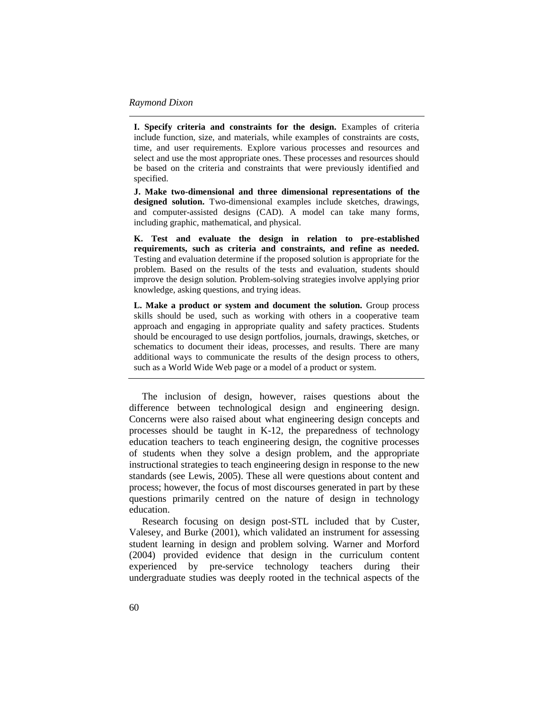**I. Specify criteria and constraints for the design.** Examples of criteria include function, size, and materials, while examples of constraints are costs, time, and user requirements. Explore various processes and resources and select and use the most appropriate ones. These processes and resources should be based on the criteria and constraints that were previously identified and specified.

**J. Make two-dimensional and three dimensional representations of the designed solution.** Two-dimensional examples include sketches, drawings, and computer-assisted designs (CAD). A model can take many forms, including graphic, mathematical, and physical.

**K. Test and evaluate the design in relation to pre-established requirements, such as criteria and constraints, and refine as needed.**  Testing and evaluation determine if the proposed solution is appropriate for the problem. Based on the results of the tests and evaluation, students should improve the design solution. Problem-solving strategies involve applying prior knowledge, asking questions, and trying ideas.

**L. Make a product or system and document the solution.** Group process skills should be used, such as working with others in a cooperative team approach and engaging in appropriate quality and safety practices. Students should be encouraged to use design portfolios, journals, drawings, sketches, or schematics to document their ideas, processes, and results. There are many additional ways to communicate the results of the design process to others, such as a World Wide Web page or a model of a product or system.

The inclusion of design, however, raises questions about the difference between technological design and engineering design. Concerns were also raised about what engineering design concepts and processes should be taught in K-12, the preparedness of technology education teachers to teach engineering design, the cognitive processes of students when they solve a design problem, and the appropriate instructional strategies to teach engineering design in response to the new standards (see Lewis, 2005). These all were questions about content and process; however, the focus of most discourses generated in part by these questions primarily centred on the nature of design in technology education.

Research focusing on design post-STL included that by Custer, Valesey, and Burke (2001), which validated an instrument for assessing student learning in design and problem solving. Warner and Morford (2004) provided evidence that design in the curriculum content experienced by pre-service technology teachers during their undergraduate studies was deeply rooted in the technical aspects of the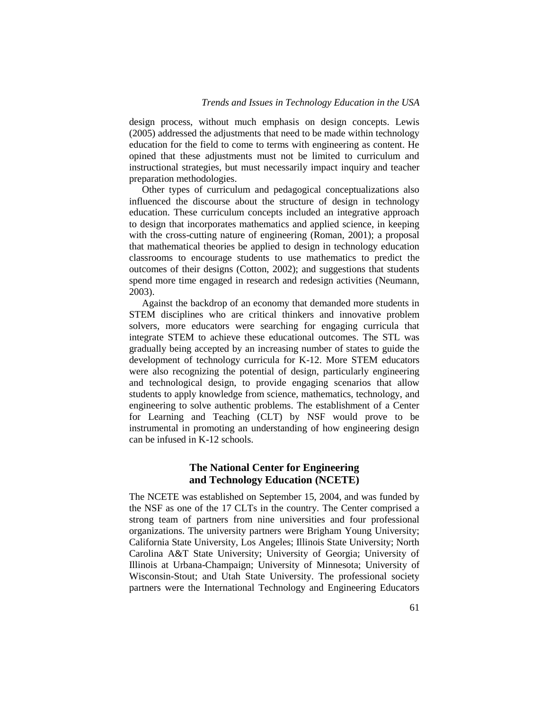design process, without much emphasis on design concepts. Lewis (2005) addressed the adjustments that need to be made within technology education for the field to come to terms with engineering as content. He opined that these adjustments must not be limited to curriculum and instructional strategies, but must necessarily impact inquiry and teacher preparation methodologies.

Other types of curriculum and pedagogical conceptualizations also influenced the discourse about the structure of design in technology education. These curriculum concepts included an integrative approach to design that incorporates mathematics and applied science, in keeping with the cross-cutting nature of engineering (Roman, 2001); a proposal that mathematical theories be applied to design in technology education classrooms to encourage students to use mathematics to predict the outcomes of their designs (Cotton, 2002); and suggestions that students spend more time engaged in research and redesign activities (Neumann, 2003).

Against the backdrop of an economy that demanded more students in STEM disciplines who are critical thinkers and innovative problem solvers, more educators were searching for engaging curricula that integrate STEM to achieve these educational outcomes. The STL was gradually being accepted by an increasing number of states to guide the development of technology curricula for K-12. More STEM educators were also recognizing the potential of design, particularly engineering and technological design, to provide engaging scenarios that allow students to apply knowledge from science, mathematics, technology, and engineering to solve authentic problems. The establishment of a Center for Learning and Teaching (CLT) by NSF would prove to be instrumental in promoting an understanding of how engineering design can be infused in K-12 schools.

# **The National Center for Engineering and Technology Education (NCETE)**

The NCETE was established on September 15, 2004, and was funded by the NSF as one of the 17 CLTs in the country. The Center comprised a strong team of partners from nine universities and four professional organizations. The university partners were Brigham Young University; California State University, Los Angeles; Illinois State University; North Carolina A&T State University; University of Georgia; University of Illinois at Urbana-Champaign; University of Minnesota; University of Wisconsin-Stout; and Utah State University. The professional society partners were the International Technology and Engineering Educators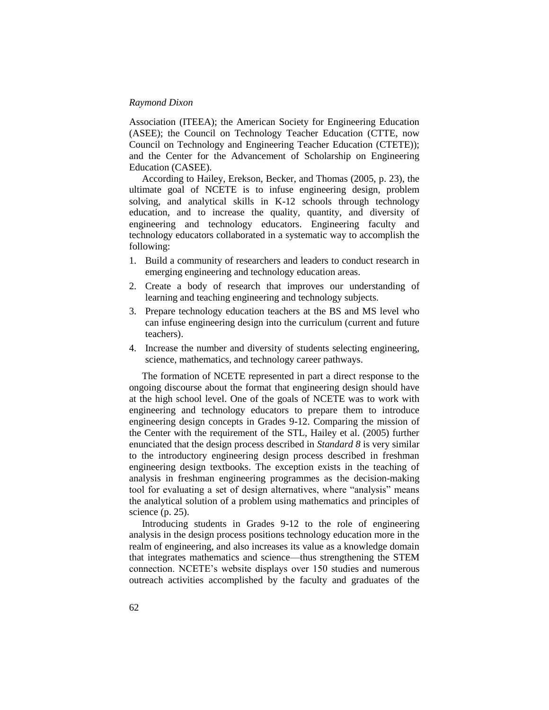Association (ITEEA); the American Society for Engineering Education (ASEE); the Council on Technology Teacher Education (CTTE, now Council on Technology and Engineering Teacher Education (CTETE)); and the Center for the Advancement of Scholarship on Engineering Education (CASEE).

According to Hailey, Erekson, Becker, and Thomas (2005, p. 23), the ultimate goal of NCETE is to infuse engineering design, problem solving, and analytical skills in K-12 schools through technology education, and to increase the quality, quantity, and diversity of engineering and technology educators. Engineering faculty and technology educators collaborated in a systematic way to accomplish the following:

- 1. Build a community of researchers and leaders to conduct research in emerging engineering and technology education areas.
- 2. Create a body of research that improves our understanding of learning and teaching engineering and technology subjects.
- 3. Prepare technology education teachers at the BS and MS level who can infuse engineering design into the curriculum (current and future teachers).
- 4. Increase the number and diversity of students selecting engineering, science, mathematics, and technology career pathways.

The formation of NCETE represented in part a direct response to the ongoing discourse about the format that engineering design should have at the high school level. One of the goals of NCETE was to work with engineering and technology educators to prepare them to introduce engineering design concepts in Grades 9-12. Comparing the mission of the Center with the requirement of the STL, Hailey et al. (2005) further enunciated that the design process described in *Standard 8* is very similar to the introductory engineering design process described in freshman engineering design textbooks. The exception exists in the teaching of analysis in freshman engineering programmes as the decision-making tool for evaluating a set of design alternatives, where "analysis" means the analytical solution of a problem using mathematics and principles of science (p. 25).

Introducing students in Grades 9-12 to the role of engineering analysis in the design process positions technology education more in the realm of engineering, and also increases its value as a knowledge domain that integrates mathematics and science—thus strengthening the STEM connection. NCETE's website displays over 150 studies and numerous outreach activities accomplished by the faculty and graduates of the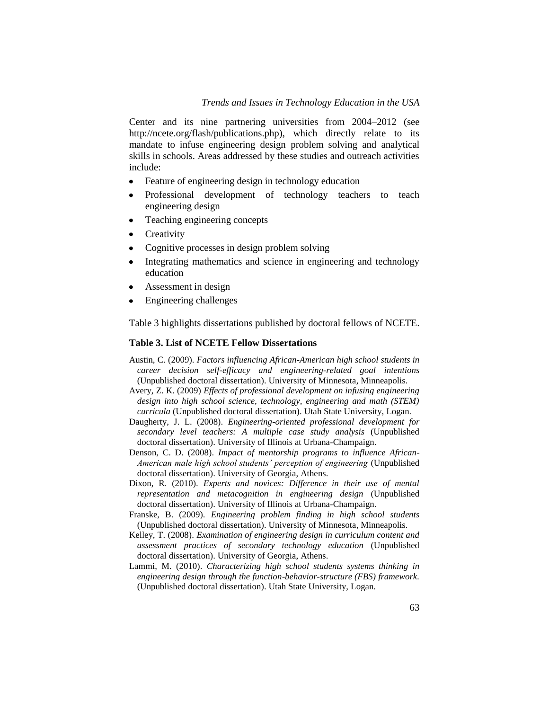# *Trends and Issues in Technology Education in the USA*

Center and its nine partnering universities from 2004–2012 (see http://ncete.org/flash/publications.php), which directly relate to its mandate to infuse engineering design problem solving and analytical skills in schools. Areas addressed by these studies and outreach activities include:

- Feature of engineering design in technology education  $\bullet$
- Professional development of technology teachers to teach  $\bullet$ engineering design
- Teaching engineering concepts
- **Creativity**  $\bullet$
- Cognitive processes in design problem solving
- Integrating mathematics and science in engineering and technology  $\bullet$ education
- Assessment in design  $\bullet$
- Engineering challenges  $\bullet$

Table 3 highlights dissertations published by doctoral fellows of NCETE.

#### **Table 3. List of NCETE Fellow Dissertations**

- Austin, C. (2009). *Factors influencing African-American high school students in career decision self-efficacy and engineering-related goal intentions* (Unpublished doctoral dissertation). University of Minnesota, Minneapolis.
- Avery, Z. K. (2009) *Effects of professional development on infusing engineering design into high school science, technology, engineering and math (STEM) curricula* (Unpublished doctoral dissertation). Utah State University, Logan.
- Daugherty, J. L. (2008). *Engineering-oriented professional development for secondary level teachers: A multiple case study analysis* (Unpublished doctoral dissertation). University of Illinois at Urbana-Champaign.
- Denson, C. D. (2008). *Impact of mentorship programs to influence African-American male high school students' perception of engineering* (Unpublished doctoral dissertation). University of Georgia, Athens.
- Dixon, R. (2010). *Experts and novices: Difference in their use of mental representation and metacognition in engineering design* (Unpublished doctoral dissertation). University of Illinois at Urbana-Champaign.
- Franske, B. (2009). *Engineering problem finding in high school students* (Unpublished doctoral dissertation). University of Minnesota, Minneapolis.
- Kelley, T. (2008). *Examination of engineering design in curriculum content and assessment practices of secondary technology education* (Unpublished doctoral dissertation). University of Georgia, Athens.
- Lammi, M. (2010). *Characterizing high school students systems thinking in engineering design through the function-behavior-structure (FBS) framework.* (Unpublished doctoral dissertation). Utah State University, Logan.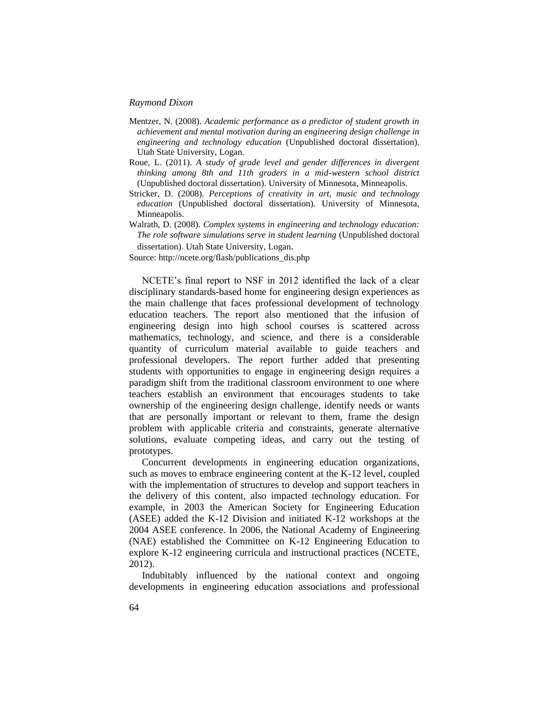- Mentzer, N. (2008). *Academic performance as a predictor of student growth in achievement and mental motivation during an engineering design challenge in engineering and technology education* (Unpublished doctoral dissertation). Utah State University, Logan.
- Roue, L. (2011). *A study of grade level and gender differences in divergent thinking among 8th and 11th graders in a mid-western school district* (Unpublished doctoral dissertation). University of Minnesota, Minneapolis.
- Stricker, D. (2008). *Perceptions of creativity in art, music and technology education* (Unpublished doctoral dissertation). University of Minnesota, Minneapolis.
- Walrath, D. (2008). *Complex systems in engineering and technology education: The role software simulations serve in student learning* (Unpublished doctoral dissertation). Utah State University, Logan.

Source: http://ncete.org/flash/publications\_dis.php

NCETE's final report to NSF in 2012 identified the lack of a clear disciplinary standards-based home for engineering design experiences as the main challenge that faces professional development of technology education teachers. The report also mentioned that the infusion of engineering design into high school courses is scattered across mathematics, technology, and science, and there is a considerable quantity of curriculum material available to guide teachers and professional developers. The report further added that presenting students with opportunities to engage in engineering design requires a paradigm shift from the traditional classroom environment to one where teachers establish an environment that encourages students to take ownership of the engineering design challenge, identify needs or wants that are personally important or relevant to them, frame the design problem with applicable criteria and constraints, generate alternative solutions, evaluate competing ideas, and carry out the testing of prototypes.

Concurrent developments in engineering education organizations, such as moves to embrace engineering content at the K-12 level, coupled with the implementation of structures to develop and support teachers in the delivery of this content, also impacted technology education. For example, in 2003 the American Society for Engineering Education (ASEE) added the K-12 Division and initiated K-12 workshops at the 2004 ASEE conference. In 2006, the National Academy of Engineering (NAE) established the Committee on K-12 Engineering Education to explore K-12 engineering curricula and instructional practices (NCETE, 2012).

Indubitably influenced by the national context and ongoing developments in engineering education associations and professional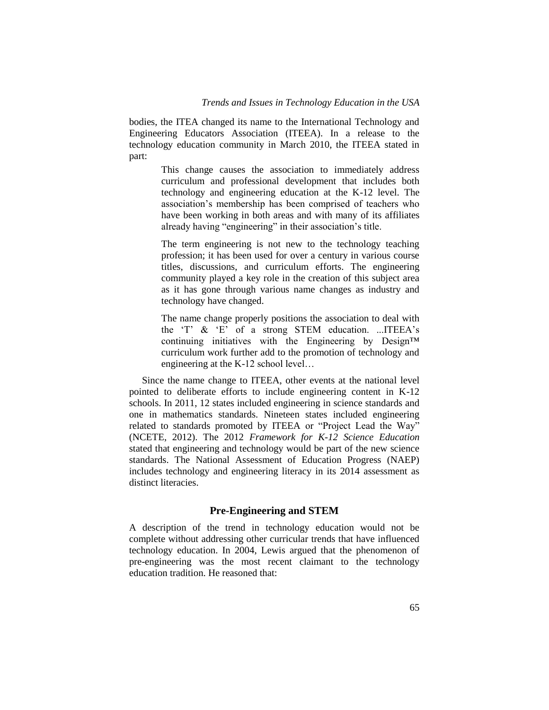bodies, the ITEA changed its name to the International Technology and Engineering Educators Association (ITEEA). In a release to the technology education community in March 2010, the ITEEA stated in part:

> This change causes the association to immediately address curriculum and professional development that includes both technology and engineering education at the K-12 level. The association's membership has been comprised of teachers who have been working in both areas and with many of its affiliates already having "engineering" in their association's title.

> The term engineering is not new to the technology teaching profession; it has been used for over a century in various course titles, discussions, and curriculum efforts. The engineering community played a key role in the creation of this subject area as it has gone through various name changes as industry and technology have changed.

> The name change properly positions the association to deal with the 'T' & 'E' of a strong STEM education. ...ITEEA's continuing initiatives with the Engineering by Design™ curriculum work further add to the promotion of technology and engineering at the K-12 school level…

Since the name change to ITEEA, other events at the national level pointed to deliberate efforts to include engineering content in K-12 schools. In 2011, 12 states included engineering in science standards and one in mathematics standards. Nineteen states included engineering related to standards promoted by ITEEA or "Project Lead the Way" (NCETE, 2012). The 2012 *Framework for K-12 Science Education*  stated that engineering and technology would be part of the new science standards. The National Assessment of Education Progress (NAEP) includes technology and engineering literacy in its 2014 assessment as distinct literacies.

### **Pre-Engineering and STEM**

A description of the trend in technology education would not be complete without addressing other curricular trends that have influenced technology education. In 2004, Lewis argued that the phenomenon of pre-engineering was the most recent claimant to the technology education tradition. He reasoned that: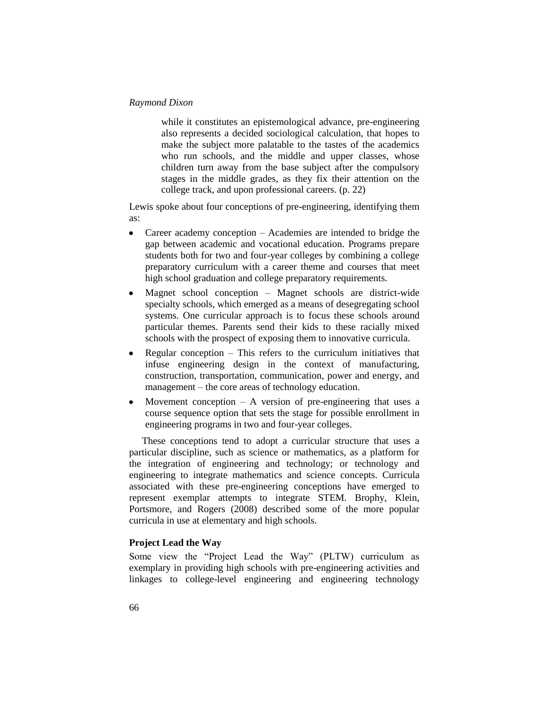while it constitutes an epistemological advance, pre-engineering also represents a decided sociological calculation, that hopes to make the subject more palatable to the tastes of the academics who run schools, and the middle and upper classes, whose children turn away from the base subject after the compulsory stages in the middle grades, as they fix their attention on the college track, and upon professional careers. (p. 22)

Lewis spoke about four conceptions of pre-engineering, identifying them as:

- Career academy conception Academies are intended to bridge the gap between academic and vocational education. Programs prepare students both for two and four-year colleges by combining a college preparatory curriculum with a career theme and courses that meet high school graduation and college preparatory requirements.
- Magnet school conception Magnet schools are district-wide  $\bullet$ specialty schools, which emerged as a means of desegregating school systems. One curricular approach is to focus these schools around particular themes. Parents send their kids to these racially mixed schools with the prospect of exposing them to innovative curricula.
- $\bullet$ Regular conception – This refers to the curriculum initiatives that infuse engineering design in the context of manufacturing, construction, transportation, communication, power and energy, and management – the core areas of technology education.
- Movement conception  $A$  version of pre-engineering that uses a  $\bullet$ course sequence option that sets the stage for possible enrollment in engineering programs in two and four-year colleges.

These conceptions tend to adopt a curricular structure that uses a particular discipline, such as science or mathematics, as a platform for the integration of engineering and technology; or technology and engineering to integrate mathematics and science concepts. Curricula associated with these pre-engineering conceptions have emerged to represent exemplar attempts to integrate STEM. Brophy, Klein, Portsmore, and Rogers (2008) described some of the more popular curricula in use at elementary and high schools.

# **Project Lead the Way**

Some view the "Project Lead the Way" (PLTW) curriculum as exemplary in providing high schools with pre-engineering activities and linkages to college-level engineering and engineering technology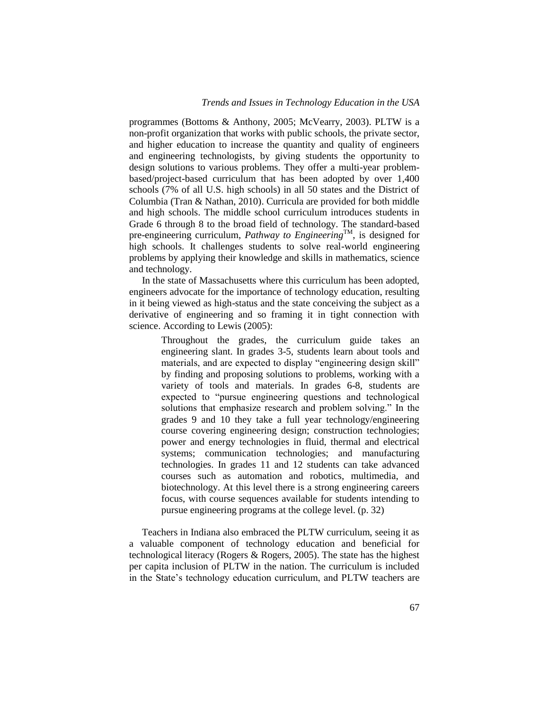programmes (Bottoms & Anthony, 2005; McVearry, 2003). PLTW is a non-profit organization that works with public schools, the private sector, and higher education to increase the quantity and quality of engineers and engineering technologists, by giving students the opportunity to design solutions to various problems. They offer a multi-year problembased/project-based curriculum that has been adopted by over 1,400 schools (7% of all U.S. high schools) in all 50 states and the District of Columbia (Tran & Nathan, 2010). Curricula are provided for both middle and high schools. The middle school curriculum introduces students in Grade 6 through 8 to the broad field of technology. The standard-based pre-engineering curriculum, *Pathway to Engineering*TM, is designed for high schools. It challenges students to solve real-world engineering problems by applying their knowledge and skills in mathematics, science and technology.

In the state of Massachusetts where this curriculum has been adopted, engineers advocate for the importance of technology education, resulting in it being viewed as high-status and the state conceiving the subject as a derivative of engineering and so framing it in tight connection with science. According to Lewis (2005):

> Throughout the grades, the curriculum guide takes an engineering slant. In grades 3-5, students learn about tools and materials, and are expected to display "engineering design skill" by finding and proposing solutions to problems, working with a variety of tools and materials. In grades 6-8, students are expected to "pursue engineering questions and technological solutions that emphasize research and problem solving." In the grades 9 and 10 they take a full year technology/engineering course covering engineering design; construction technologies; power and energy technologies in fluid, thermal and electrical systems; communication technologies; and manufacturing technologies. In grades 11 and 12 students can take advanced courses such as automation and robotics, multimedia, and biotechnology. At this level there is a strong engineering careers focus, with course sequences available for students intending to pursue engineering programs at the college level. (p. 32)

Teachers in Indiana also embraced the PLTW curriculum, seeing it as a valuable component of technology education and beneficial for technological literacy (Rogers & Rogers, 2005). The state has the highest per capita inclusion of PLTW in the nation. The curriculum is included in the State's technology education curriculum, and PLTW teachers are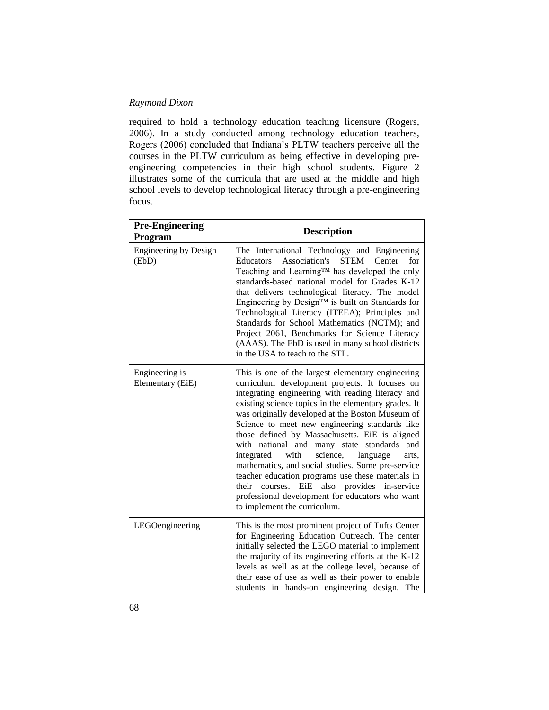required to hold a technology education teaching licensure (Rogers, 2006). In a study conducted among technology education teachers, Rogers (2006) concluded that Indiana's PLTW teachers perceive all the courses in the PLTW curriculum as being effective in developing preengineering competencies in their high school students. Figure 2 illustrates some of the curricula that are used at the middle and high school levels to develop technological literacy through a pre-engineering focus.

| <b>Pre-Engineering</b><br>Program  | <b>Description</b>                                                                                                                                                                                                                                                                                                                                                                                                                                                                                                                                                                                                                                                                                                                 |
|------------------------------------|------------------------------------------------------------------------------------------------------------------------------------------------------------------------------------------------------------------------------------------------------------------------------------------------------------------------------------------------------------------------------------------------------------------------------------------------------------------------------------------------------------------------------------------------------------------------------------------------------------------------------------------------------------------------------------------------------------------------------------|
| Engineering by Design<br>(EbD)     | The International Technology and Engineering<br>Association's<br><b>STEM</b><br>for<br>Educators<br>Center<br>Teaching and Learning™ has developed the only<br>standards-based national model for Grades K-12<br>that delivers technological literacy. The model<br>Engineering by Design™ is built on Standards for<br>Technological Literacy (ITEEA); Principles and<br>Standards for School Mathematics (NCTM); and<br>Project 2061, Benchmarks for Science Literacy<br>(AAAS). The EbD is used in many school districts<br>in the USA to teach to the STL.                                                                                                                                                                     |
| Engineering is<br>Elementary (EiE) | This is one of the largest elementary engineering<br>curriculum development projects. It focuses on<br>integrating engineering with reading literacy and<br>existing science topics in the elementary grades. It<br>was originally developed at the Boston Museum of<br>Science to meet new engineering standards like<br>those defined by Massachusetts. EiE is aligned<br>with national and many state standards<br>and<br>with<br>science,<br>integrated<br>language<br>arts,<br>mathematics, and social studies. Some pre-service<br>teacher education programs use these materials in<br>EiE also provides in-service<br>their<br>courses.<br>professional development for educators who want<br>to implement the curriculum. |
| LEGOengineering                    | This is the most prominent project of Tufts Center<br>for Engineering Education Outreach. The center<br>initially selected the LEGO material to implement<br>the majority of its engineering efforts at the K-12<br>levels as well as at the college level, because of<br>their ease of use as well as their power to enable<br>students in hands-on engineering design. The                                                                                                                                                                                                                                                                                                                                                       |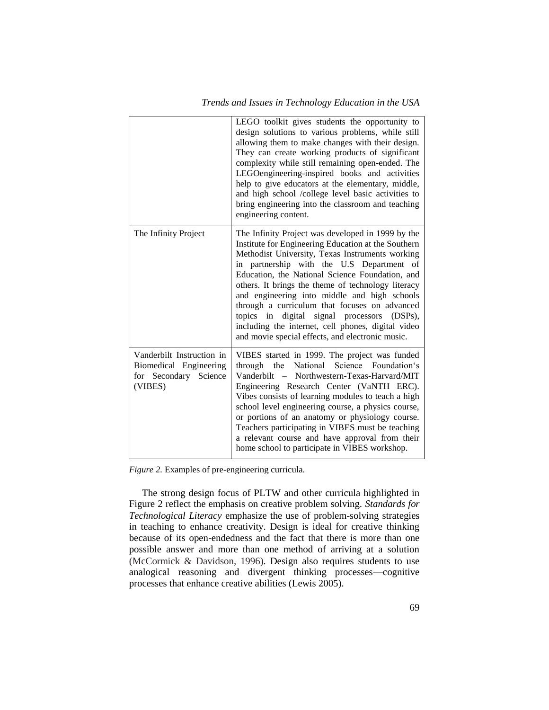|                                                                                         | LEGO toolkit gives students the opportunity to<br>design solutions to various problems, while still<br>allowing them to make changes with their design.<br>They can create working products of significant<br>complexity while still remaining open-ended. The<br>LEGOengineering-inspired books and activities<br>help to give educators at the elementary, middle,<br>and high school /college level basic activities to<br>bring engineering into the classroom and teaching<br>engineering content.                                                                        |
|-----------------------------------------------------------------------------------------|--------------------------------------------------------------------------------------------------------------------------------------------------------------------------------------------------------------------------------------------------------------------------------------------------------------------------------------------------------------------------------------------------------------------------------------------------------------------------------------------------------------------------------------------------------------------------------|
| The Infinity Project                                                                    | The Infinity Project was developed in 1999 by the<br>Institute for Engineering Education at the Southern<br>Methodist University, Texas Instruments working<br>in partnership with the U.S Department of<br>Education, the National Science Foundation, and<br>others. It brings the theme of technology literacy<br>and engineering into middle and high schools<br>through a curriculum that focuses on advanced<br>digital signal processors (DSPs),<br>topics in<br>including the internet, cell phones, digital video<br>and movie special effects, and electronic music. |
| Vanderbilt Instruction in<br>Biomedical Engineering<br>for Secondary Science<br>(VIBES) | VIBES started in 1999. The project was funded<br>through the National<br>Science<br>Foundation's<br>Vanderbilt - Northwestern-Texas-Harvard/MIT<br>Engineering Research Center (VaNTH ERC).<br>Vibes consists of learning modules to teach a high<br>school level engineering course, a physics course,<br>or portions of an anatomy or physiology course.<br>Teachers participating in VIBES must be teaching<br>a relevant course and have approval from their<br>home school to participate in VIBES workshop.                                                              |

*Figure 2.* Examples of pre-engineering curricula.

The strong design focus of PLTW and other curricula highlighted in Figure 2 reflect the emphasis on creative problem solving. *Standards for Technological Literacy* emphasize the use of problem-solving strategies in teaching to enhance creativity. Design is ideal for creative thinking because of its open-endedness and the fact that there is more than one possible answer and more than one method of arriving at a solution (McCormick & Davidson, 1996). Design also requires students to use analogical reasoning and divergent thinking processes—cognitive processes that enhance creative abilities (Lewis 2005).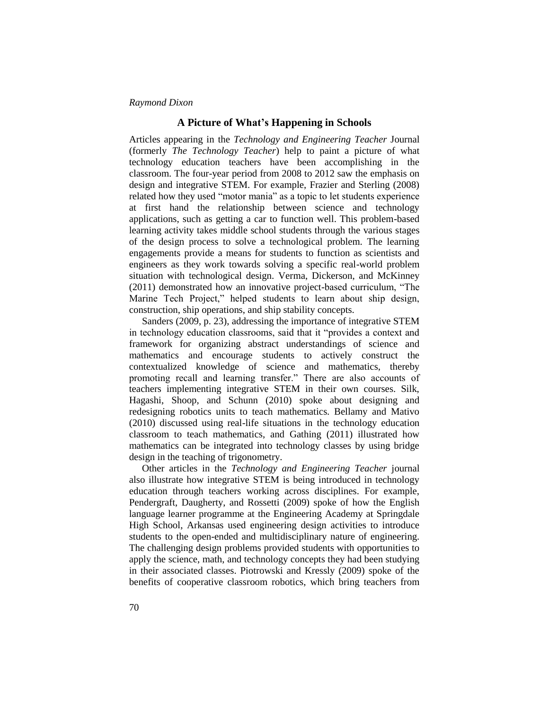# **A Picture of What's Happening in Schools**

Articles appearing in the *Technology and Engineering Teacher* Journal (formerly *The Technology Teacher*) help to paint a picture of what technology education teachers have been accomplishing in the classroom. The four-year period from 2008 to 2012 saw the emphasis on design and integrative STEM. For example, Frazier and Sterling (2008) related how they used "motor mania" as a topic to let students experience at first hand the relationship between science and technology applications, such as getting a car to function well. This problem-based learning activity takes middle school students through the various stages of the design process to solve a technological problem. The learning engagements provide a means for students to function as scientists and engineers as they work towards solving a specific real-world problem situation with technological design. Verma, Dickerson, and McKinney (2011) demonstrated how an innovative project-based curriculum, "The Marine Tech Project," helped students to learn about ship design, construction, ship operations, and ship stability concepts.

Sanders (2009, p. 23), addressing the importance of integrative STEM in technology education classrooms, said that it "provides a context and framework for organizing abstract understandings of science and mathematics and encourage students to actively construct the contextualized knowledge of science and mathematics, thereby promoting recall and learning transfer." There are also accounts of teachers implementing integrative STEM in their own courses. Silk, Hagashi, Shoop, and Schunn (2010) spoke about designing and redesigning robotics units to teach mathematics. Bellamy and Mativo (2010) discussed using real-life situations in the technology education classroom to teach mathematics, and Gathing (2011) illustrated how mathematics can be integrated into technology classes by using bridge design in the teaching of trigonometry.

Other articles in the *Technology and Engineering Teacher* journal also illustrate how integrative STEM is being introduced in technology education through teachers working across disciplines. For example, Pendergraft, Daugherty, and Rossetti (2009) spoke of how the English language learner programme at the Engineering Academy at Springdale High School, Arkansas used engineering design activities to introduce students to the open-ended and multidisciplinary nature of engineering. The challenging design problems provided students with opportunities to apply the science, math, and technology concepts they had been studying in their associated classes. Piotrowski and Kressly (2009) spoke of the benefits of cooperative classroom robotics, which bring teachers from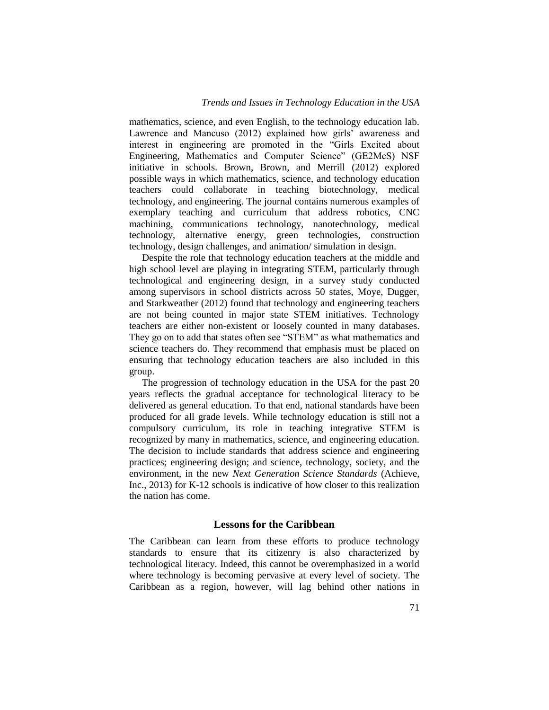mathematics, science, and even English, to the technology education lab. Lawrence and Mancuso (2012) explained how girls' awareness and interest in engineering are promoted in the "Girls Excited about Engineering, Mathematics and Computer Science" (GE2McS) NSF initiative in schools. Brown, Brown, and Merrill (2012) explored possible ways in which mathematics, science, and technology education teachers could collaborate in teaching biotechnology, medical technology, and engineering. The journal contains numerous examples of exemplary teaching and curriculum that address robotics, CNC machining, communications technology, nanotechnology, medical technology, alternative energy, green technologies, construction technology, design challenges, and animation/ simulation in design.

Despite the role that technology education teachers at the middle and high school level are playing in integrating STEM, particularly through technological and engineering design, in a survey study conducted among supervisors in school districts across 50 states, Moye, Dugger, and Starkweather (2012) found that technology and engineering teachers are not being counted in major state STEM initiatives. Technology teachers are either non-existent or loosely counted in many databases. They go on to add that states often see "STEM" as what mathematics and science teachers do. They recommend that emphasis must be placed on ensuring that technology education teachers are also included in this group.

The progression of technology education in the USA for the past 20 years reflects the gradual acceptance for technological literacy to be delivered as general education. To that end, national standards have been produced for all grade levels. While technology education is still not a compulsory curriculum, its role in teaching integrative STEM is recognized by many in mathematics, science, and engineering education. The decision to include standards that address science and engineering practices; engineering design; and science, technology, society, and the environment, in the new *Next Generation Science Standards* (Achieve, Inc., 2013) for K-12 schools is indicative of how closer to this realization the nation has come.

# **Lessons for the Caribbean**

The Caribbean can learn from these efforts to produce technology standards to ensure that its citizenry is also characterized by technological literacy. Indeed, this cannot be overemphasized in a world where technology is becoming pervasive at every level of society. The Caribbean as a region, however, will lag behind other nations in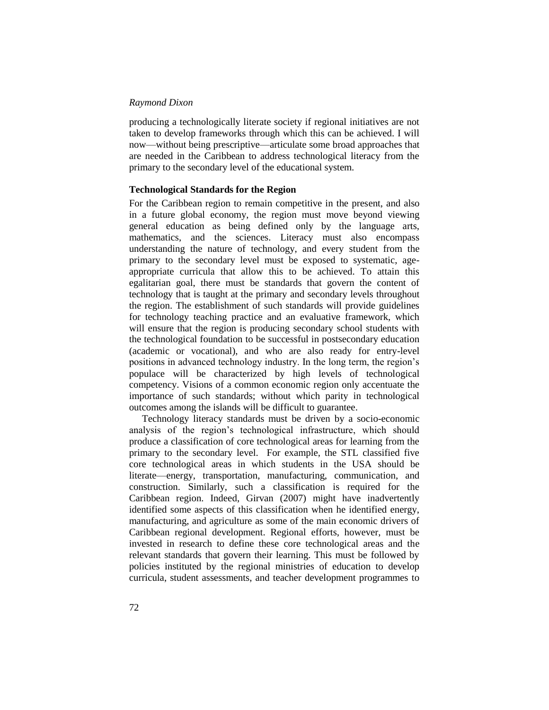producing a technologically literate society if regional initiatives are not taken to develop frameworks through which this can be achieved. I will now—without being prescriptive—articulate some broad approaches that are needed in the Caribbean to address technological literacy from the primary to the secondary level of the educational system.

# **Technological Standards for the Region**

For the Caribbean region to remain competitive in the present, and also in a future global economy, the region must move beyond viewing general education as being defined only by the language arts, mathematics, and the sciences. Literacy must also encompass understanding the nature of technology, and every student from the primary to the secondary level must be exposed to systematic, ageappropriate curricula that allow this to be achieved. To attain this egalitarian goal, there must be standards that govern the content of technology that is taught at the primary and secondary levels throughout the region. The establishment of such standards will provide guidelines for technology teaching practice and an evaluative framework, which will ensure that the region is producing secondary school students with the technological foundation to be successful in postsecondary education (academic or vocational), and who are also ready for entry-level positions in advanced technology industry. In the long term, the region's populace will be characterized by high levels of technological competency. Visions of a common economic region only accentuate the importance of such standards; without which parity in technological outcomes among the islands will be difficult to guarantee.

Technology literacy standards must be driven by a socio-economic analysis of the region's technological infrastructure, which should produce a classification of core technological areas for learning from the primary to the secondary level. For example, the STL classified five core technological areas in which students in the USA should be literate—energy, transportation, manufacturing, communication, and construction. Similarly, such a classification is required for the Caribbean region. Indeed, Girvan (2007) might have inadvertently identified some aspects of this classification when he identified energy, manufacturing, and agriculture as some of the main economic drivers of Caribbean regional development. Regional efforts, however, must be invested in research to define these core technological areas and the relevant standards that govern their learning. This must be followed by policies instituted by the regional ministries of education to develop curricula, student assessments, and teacher development programmes to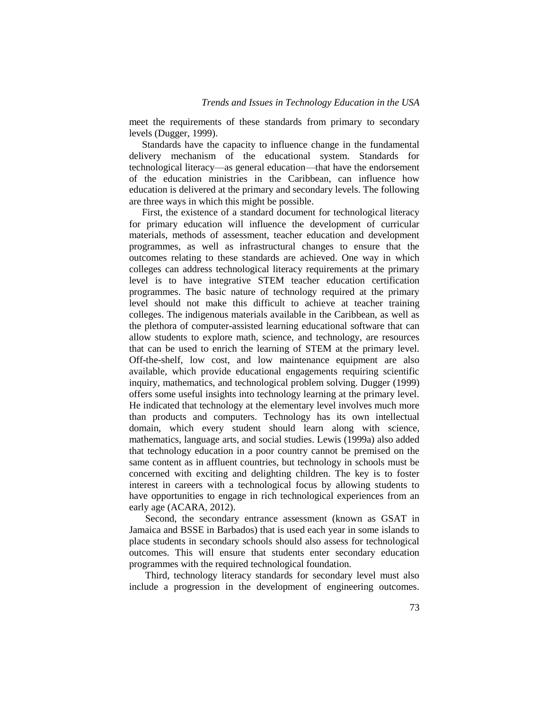meet the requirements of these standards from primary to secondary levels (Dugger, 1999).

Standards have the capacity to influence change in the fundamental delivery mechanism of the educational system. Standards for technological literacy—as general education—that have the endorsement of the education ministries in the Caribbean, can influence how education is delivered at the primary and secondary levels. The following are three ways in which this might be possible.

First, the existence of a standard document for technological literacy for primary education will influence the development of curricular materials, methods of assessment, teacher education and development programmes, as well as infrastructural changes to ensure that the outcomes relating to these standards are achieved. One way in which colleges can address technological literacy requirements at the primary level is to have integrative STEM teacher education certification programmes. The basic nature of technology required at the primary level should not make this difficult to achieve at teacher training colleges. The indigenous materials available in the Caribbean, as well as the plethora of computer-assisted learning educational software that can allow students to explore math, science, and technology, are resources that can be used to enrich the learning of STEM at the primary level. Off-the-shelf, low cost, and low maintenance equipment are also available, which provide educational engagements requiring scientific inquiry, mathematics, and technological problem solving. Dugger (1999) offers some useful insights into technology learning at the primary level. He indicated that technology at the elementary level involves much more than products and computers. Technology has its own intellectual domain, which every student should learn along with science, mathematics, language arts, and social studies. Lewis (1999a) also added that technology education in a poor country cannot be premised on the same content as in affluent countries, but technology in schools must be concerned with exciting and delighting children. The key is to foster interest in careers with a technological focus by allowing students to have opportunities to engage in rich technological experiences from an early age (ACARA, 2012).

Second, the secondary entrance assessment (known as GSAT in Jamaica and BSSE in Barbados) that is used each year in some islands to place students in secondary schools should also assess for technological outcomes. This will ensure that students enter secondary education programmes with the required technological foundation.

Third, technology literacy standards for secondary level must also include a progression in the development of engineering outcomes.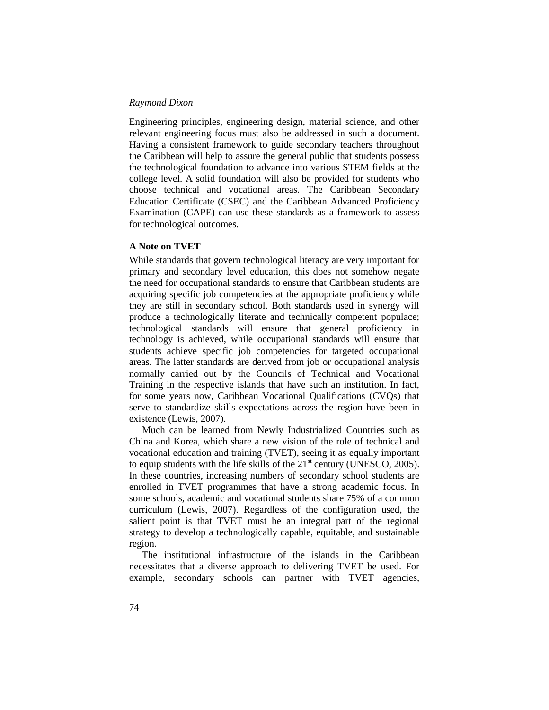Engineering principles, engineering design, material science, and other relevant engineering focus must also be addressed in such a document. Having a consistent framework to guide secondary teachers throughout the Caribbean will help to assure the general public that students possess the technological foundation to advance into various STEM fields at the college level. A solid foundation will also be provided for students who choose technical and vocational areas. The Caribbean Secondary Education Certificate (CSEC) and the Caribbean Advanced Proficiency Examination (CAPE) can use these standards as a framework to assess for technological outcomes.

# **A Note on TVET**

While standards that govern technological literacy are very important for primary and secondary level education, this does not somehow negate the need for occupational standards to ensure that Caribbean students are acquiring specific job competencies at the appropriate proficiency while they are still in secondary school. Both standards used in synergy will produce a technologically literate and technically competent populace; technological standards will ensure that general proficiency in technology is achieved, while occupational standards will ensure that students achieve specific job competencies for targeted occupational areas. The latter standards are derived from job or occupational analysis normally carried out by the Councils of Technical and Vocational Training in the respective islands that have such an institution. In fact, for some years now, Caribbean Vocational Qualifications (CVQs) that serve to standardize skills expectations across the region have been in existence (Lewis, 2007).

Much can be learned from Newly Industrialized Countries such as China and Korea, which share a new vision of the role of technical and vocational education and training (TVET), seeing it as equally important to equip students with the life skills of the  $21<sup>st</sup>$  century (UNESCO, 2005). In these countries, increasing numbers of secondary school students are enrolled in TVET programmes that have a strong academic focus. In some schools, academic and vocational students share 75% of a common curriculum (Lewis, 2007). Regardless of the configuration used, the salient point is that TVET must be an integral part of the regional strategy to develop a technologically capable, equitable, and sustainable region.

The institutional infrastructure of the islands in the Caribbean necessitates that a diverse approach to delivering TVET be used. For example, secondary schools can partner with TVET agencies,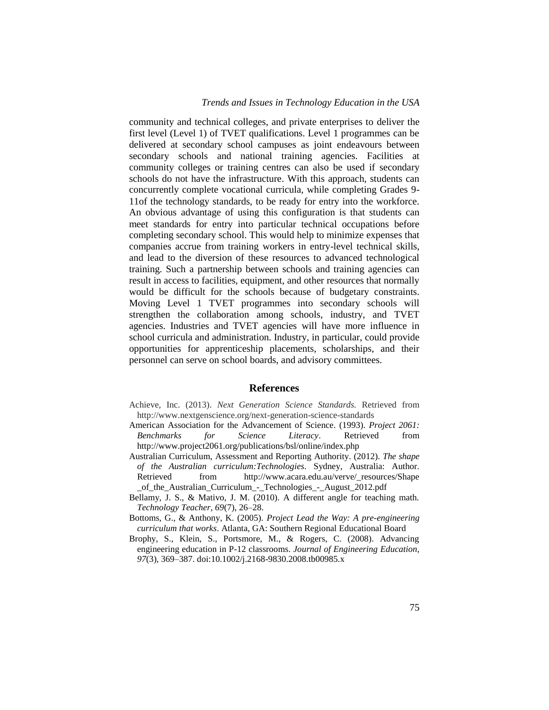community and technical colleges, and private enterprises to deliver the first level (Level 1) of TVET qualifications. Level 1 programmes can be delivered at secondary school campuses as joint endeavours between secondary schools and national training agencies. Facilities at community colleges or training centres can also be used if secondary schools do not have the infrastructure. With this approach, students can concurrently complete vocational curricula, while completing Grades 9- 11of the technology standards, to be ready for entry into the workforce. An obvious advantage of using this configuration is that students can meet standards for entry into particular technical occupations before completing secondary school. This would help to minimize expenses that companies accrue from training workers in entry-level technical skills, and lead to the diversion of these resources to advanced technological training. Such a partnership between schools and training agencies can result in access to facilities, equipment, and other resources that normally would be difficult for the schools because of budgetary constraints. Moving Level 1 TVET programmes into secondary schools will strengthen the collaboration among schools, industry, and TVET agencies. Industries and TVET agencies will have more influence in school curricula and administration. Industry, in particular, could provide opportunities for apprenticeship placements, scholarships, and their personnel can serve on school boards, and advisory committees.

### **References**

- Achieve, Inc. (2013). *Next Generation Science Standards.* Retrieved from http://www.nextgenscience.org/next-generation-science-standards
- American Association for the Advancement of Science. (1993). *Project 2061: Benchmarks for Science Literacy*. Retrieved from http://www.project2061.org/publications/bsl/online/index.php
- Australian Curriculum, Assessment and Reporting Authority. (2012). *The shape of the Australian curriculum:Technologies.* Sydney, Australia: Author*.* Retrieved from http://www.acara.edu.au/verve/\_resources/Shape \_of\_the\_Australian\_Curriculum\_-\_Technologies\_-\_August\_2012.pdf
- Bellamy, J. S., & Mativo, J. M. (2010). A different angle for teaching math. *Technology Teacher, 69*(7), 26–28.
- Bottoms, G., & Anthony, K. (2005). *Project Lead the Way: A pre-engineering curriculum that works*. Atlanta, GA: Southern Regional Educational Board
- Brophy, S., Klein, S., Portsmore, M., & Rogers, C. (2008). Advancing engineering education in P-12 classrooms. *Journal of Engineering Education, 97*(3), 369–387. doi:10.1002/j.2168-9830.2008.tb00985.x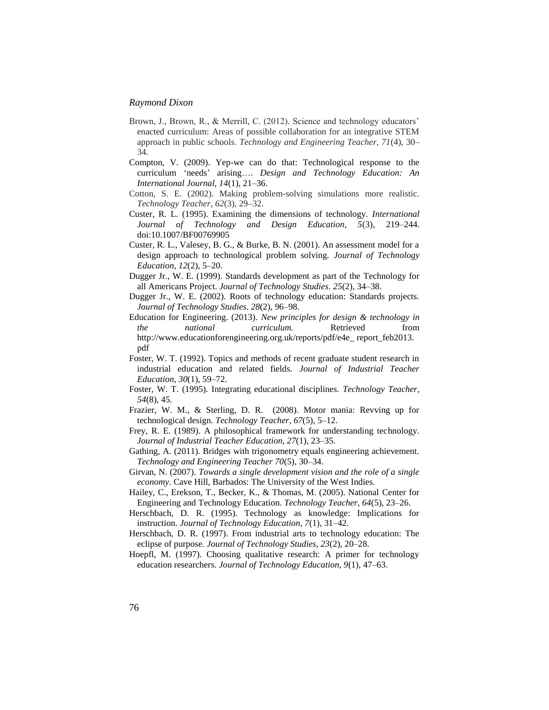- Brown, J., Brown, R., & Merrill, C. (2012). Science and technology educators' enacted curriculum: Areas of possible collaboration for an integrative STEM approach in public schools. *Technology and Engineering Teacher, 71*(4), 30– 34.
- Compton, V. (2009). Yep-we can do that: Technological response to the curriculum 'needs' arising…. *Design and Technology Education: An International Journal, 14*(1), 21–36.
- Cotton, S. E. (2002). Making problem-solving simulations more realistic. *Technology Teacher*, *62*(3), 29–32.
- Custer, R. L. (1995). Examining the dimensions of technology. *International Journal of Technology and Design Education, 5*(3), 219–244. doi:10.1007/BF00769905
- Custer, R. L., Valesey, B. G., & Burke, B. N. (2001). An assessment model for a design approach to technological problem solving. *Journal of Technology Education*, *12*(2), 5–20.
- Dugger Jr., W. E. (1999). Standards development as part of the Technology for all Americans Project. *Journal of Technology Studies*. *25*(2), 34–38.
- Dugger Jr., W. E. (2002). Roots of technology education: Standards projects. *Journal of Technology Studies*. *28*(2), 96–98.
- Education for Engineering. (2013). *New principles for design & technology in the national curriculum.* Retrieved from http://www.educationforengineering.org.uk/reports/pdf/e4e\_report\_feb2013. pdf
- Foster, W. T. (1992). Topics and methods of recent graduate student research in industrial education and related fields. *Journal of Industrial Teacher Education*, *30*(1), 59–72.
- Foster, W. T. (1995). Integrating educational disciplines. *Technology Teacher*, *54*(8), 45.
- Frazier, W. M., & Sterling, D. R. (2008). Motor mania: Revving up for technological design. *Technology Teacher*, *67*(5), 5–12.
- Frey, R. E. (1989). A philosophical framework for understanding technology. *Journal of Industrial Teacher Education, 27*(1), 23–35.
- Gathing, A. (2011). Bridges with trigonometry equals engineering achievement. *Technology and Engineering Teacher 70*(5), 30–34.
- Girvan, N. (2007). *Towards a single development vision and the role of a single economy*. Cave Hill, Barbados: The University of the West Indies.
- Hailey, C., Erekson, T., Becker, K., & Thomas, M. (2005). National Center for Engineering and Technology Education. *Technology Teacher, 64*(5), 23–26.
- Herschbach, D. R. (1995). Technology as knowledge: Implications for instruction. *Journal of Technology Education, 7*(1), 31–42.
- Herschbach, D. R. (1997). From industrial arts to technology education: The eclipse of purpose. *Journal of Technology Studies, 23*(2), 20–28.
- Hoepfl, M. (1997). Choosing qualitative research: A primer for technology education researchers. *Journal of Technology Education, 9*(1), 47–63.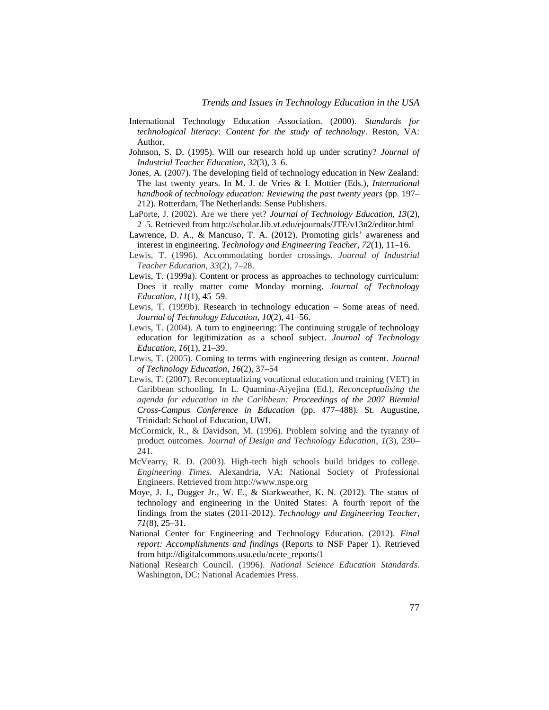- International Technology Education Association. (2000). *Standards for technological literacy: Content for the study of technology*. Reston, VA: Author.
- Johnson, S. D. (1995). Will our research hold up under scrutiny? *Journal of Industrial Teacher Education*, *32*(3), 3–6.
- Jones, A. (2007). The developing field of technology education in New Zealand: The last twenty years. In M. J. de Vries & I. Mottier (Eds.), *International handbook of technology education: Reviewing the past twenty years* (pp. 197– 212). Rotterdam, The Netherlands: Sense Publishers.
- LaPorte, J. (2002). Are we there yet? *Journal of Technology Education, 13*(2), 2–5. Retrieved from http://scholar.lib.vt.edu/ejournals/JTE/v13n2/editor.html
- Lawrence, D. A., & Mancuso, T. A. (2012). Promoting girls' awareness and interest in engineering. *Technology and Engineering Teacher, 72*(1), 11–16.
- Lewis, T. (1996). Accommodating border crossings. *Journal of Industrial Teacher Education, 33*(2), 7–28.
- Lewis, T. (1999a). Content or process as approaches to technology curriculum: Does it really matter come Monday morning. *Journal of Technology Education*, *11*(1), 45–59.
- Lewis, T. (1999b). Research in technology education Some areas of need. *Journal of Technology Education*, *10*(2), 41–56.
- Lewis, T. (2004). A turn to engineering: The continuing struggle of technology education for legitimization as a school subject. *Journal of Technology Education*, *16*(1), 21–39.
- Lewis, T. (2005). Coming to terms with engineering design as content. *Journal of Technology Education*, *16*(2), 37–54
- Lewis, T. (2007). Reconceptualizing vocational education and training (VET) in Caribbean schooling. In L. Quamina-Aiyejina (Ed.), *Reconceptualising the agenda for education in the Caribbean: Proceedings of the 2007 Biennial Cross-Campus Conference in Education* (pp. 477–488). St. Augustine, Trinidad: School of Education, UWI.
- McCormick, R., & Davidson, M. (1996). Problem solving and the tyranny of product outcomes. *Journal of Design and Technology Education*, *1*(3), 230– 241.
- McVearry, R. D. (2003). High-tech high schools build bridges to college. *Engineering Times*. Alexandria, VA: National Society of Professional Engineers. Retrieved from http://www.nspe.org
- Moye, J. J., Dugger Jr., W. E., & Starkweather, K. N. (2012). The status of technology and engineering in the United States: A fourth report of the findings from the states (2011-2012). *Technology and Engineering Teacher, 71*(8), 25–31.
- National Center for Engineering and Technology Education. (2012). *Final report: Accomplishments and findings* (Reports to NSF Paper 1). Retrieved from http://digitalcommons.usu.edu/ncete\_reports/1
- National Research Council. (1996). *National Science Education Standards*. Washington, DC: National Academies Press.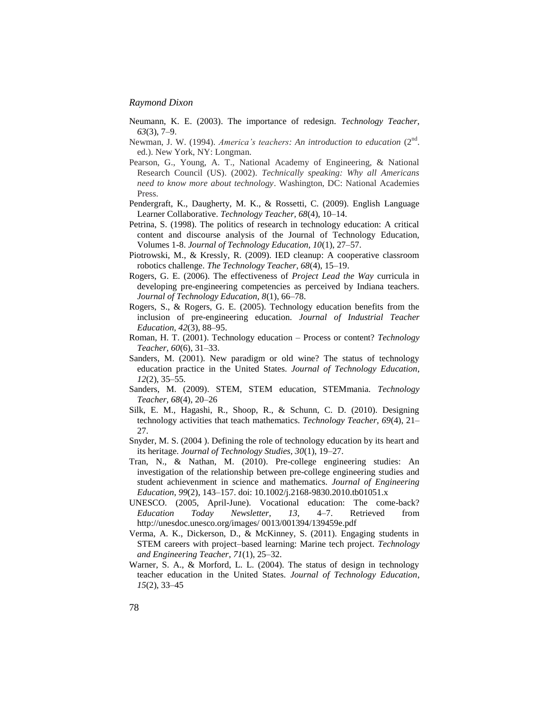- Neumann, K. E. (2003). The importance of redesign. *Technology Teacher*, *63*(3), 7–9.
- Newman, J. W. (1994). *America's teachers: An introduction to education* (2<sup>nd</sup>. ed.). New York, NY: Longman.
- Pearson, G., Young, A. T., National Academy of Engineering, & National Research Council (US). (2002). *Technically speaking: Why all Americans need to know more about technology*. Washington, DC: National Academies Press.
- Pendergraft, K., Daugherty, M. K., & Rossetti, C. (2009). English Language Learner Collaborative. *Technology Teacher, 68*(4), 10–14.
- Petrina, S. (1998). The politics of research in technology education: A critical content and discourse analysis of the Journal of Technology Education, Volumes 1-8. *Journal of Technology Education, 10*(1), 27–57.
- Piotrowski, M., & Kressly, R. (2009). IED cleanup: A cooperative classroom robotics challenge. *The Technology Teacher, 68*(4), 15–19.
- Rogers, G. E. (2006). The effectiveness of *Project Lead the Way* curricula in developing pre-engineering competencies as perceived by Indiana teachers. *Journal of Technology Education, 8*(1), 66–78.
- Rogers, S., & Rogers, G. E. (2005). Technology education benefits from the inclusion of pre-engineering education. *Journal of Industrial Teacher Education, 42*(3), 88–95.
- Roman, H. T. (2001). Technology education Process or content? *Technology Teacher, 60*(6), 31–33.
- Sanders, M. (2001). New paradigm or old wine? The status of technology education practice in the United States. *Journal of Technology Education*, *12*(2), 35–55.
- Sanders, M. (2009). STEM, STEM education, STEMmania. *Technology Teacher, 68*(4), 20–26
- Silk, E. M., Hagashi, R., Shoop, R., & Schunn, C. D. (2010). Designing technology activities that teach mathematics. *Technology Teacher, 69*(4), 21– 27.
- Snyder, M. S. (2004 ). Defining the role of technology education by its heart and its heritage. *Journal of Technology Studies, 30*(1), 19–27.
- Tran, N., & Nathan, M. (2010). Pre-college engineering studies: An investigation of the relationship between pre-college engineering studies and student achievenment in science and mathematics. *Journal of Engineering Education*, *99*(2), 143–157. doi: 10.1002/j.2168-9830.2010.tb01051.x
- UNESCO. (2005, April-June). Vocational education: The come-back? *Education Today Newsletter, 13,* 4–7. Retrieved from http://unesdoc.unesco.org/images/ 0013/001394/139459e.pdf
- Verma, A. K., Dickerson, D., & McKinney, S. (2011). Engaging students in STEM careers with project–based learning: Marine tech project. *Technology and Engineering Teacher*, *71*(1), 25–32.
- Warner, S. A., & Morford, L. L. (2004). The status of design in technology teacher education in the United States. *Journal of Technology Education*, *15*(2), 33–45